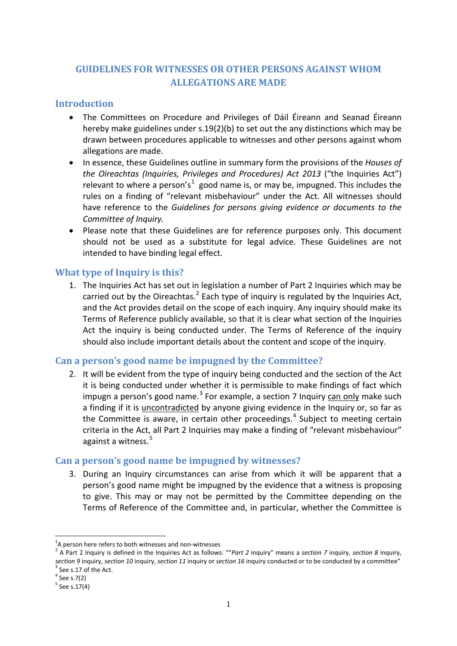# **GUIDELINES FOR WITNESSES OR OTHER PERSONS AGAINST WHOM ALLEGATIONS ARE MADE**

#### **Introduction**

- The Committees on Procedure and Privileges of Dáil Éireann and Seanad Éireann hereby make guidelines under s.19(2)(b) to set out the any distinctions which may be drawn between procedures applicable to witnesses and other persons against whom allegations are made.
- In essence, these Guidelines outline in summary form the provisions of the *Houses of the Oireachtas (Inquiries, Privileges and Procedures) Act 2013* ("the Inquiries Act") relevant to where a person's<sup>[1](#page-0-0)</sup> good name is, or may be, impugned. This includes the rules on a finding of "relevant misbehaviour" under the Act. All witnesses should have reference to the *Guidelines for persons giving evidence or documents to the Committee of Inquiry.*
- Please note that these Guidelines are for reference purposes only. This document should not be used as a substitute for legal advice. These Guidelines are not intended to have binding legal effect.

### **What type of Inquiry is this?**

1. The Inquiries Act has set out in legislation a number of Part 2 Inquiries which may be carried out by the Oireachtas.<sup>[2](#page-0-1)</sup> Each type of inquiry is regulated by the Inquiries Act, and the Act provides detail on the scope of each inquiry. Any inquiry should make its Terms of Reference publicly available, so that it is clear what section of the Inquiries Act the inquiry is being conducted under. The Terms of Reference of the inquiry should also include important details about the content and scope of the inquiry.

### **Can a person's good name be impugned by the Committee?**

2. It will be evident from the type of inquiry being conducted and the section of the Act it is being conducted under whether it is permissible to make findings of fact which impugn a person's good name. $3$  For example, a section 7 Inquiry can only make such a finding if it is uncontradicted by anyone giving evidence in the Inquiry or, so far as the Committee is aware, in certain other proceedings.<sup>[4](#page-0-3)</sup> Subject to meeting certain criteria in the Act, all Part 2 Inquiries may make a finding of "relevant misbehaviour" against a witness. [5](#page-0-4)

#### **Can a person's good name be impugned by witnesses?**

3. During an Inquiry circumstances can arise from which it will be apparent that a person's good name might be impugned by the evidence that a witness is proposing to give. This may or may not be permitted by the Committee depending on the Terms of Reference of the Committee and, in particular, whether the Committee is

 $<sup>1</sup>A$  person here refers to both witnesses and non-witnesses</sup> <u>.</u>

<span id="page-0-1"></span><span id="page-0-0"></span><sup>&</sup>lt;sup>2</sup> A Part 2 Inquiry is defined in the Inquiries Act as follows: ""Part 2 inquiry" means a *section* 7 inquiry, *section 8* inquiry, *section 9* inquiry, *section 10* inquiry, *section 11* inquiry or *section 16* inquiry conducted or to be conducted by a committee" 3 See s.17 of the Act.

<span id="page-0-3"></span><span id="page-0-2"></span> $4$  See s.7(2)

<span id="page-0-4"></span> $5$  See s.17(4)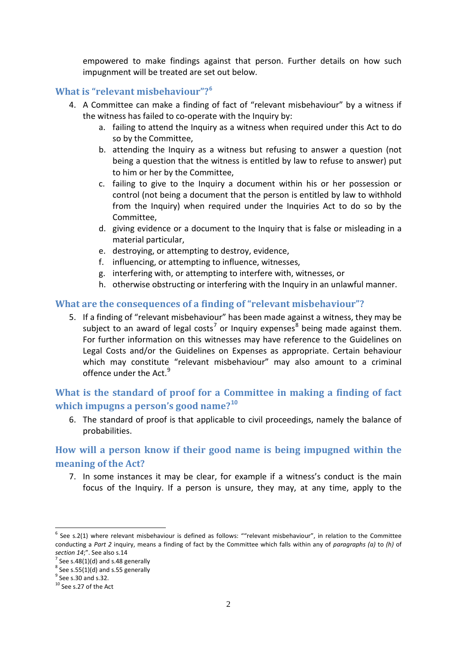empowered to make findings against that person. Further details on how such impugnment will be treated are set out below.

#### **What is "relevant misbehaviour"?[6](#page-1-0)**

- 4. A Committee can make a finding of fact of "relevant misbehaviour" by a witness if the witness has failed to co-operate with the Inquiry by:
	- a. failing to attend the Inquiry as a witness when required under this Act to do so by the Committee,
	- b. attending the Inquiry as a witness but refusing to answer a question (not being a question that the witness is entitled by law to refuse to answer) put to him or her by the Committee,
	- c. failing to give to the Inquiry a document within his or her possession or control (not being a document that the person is entitled by law to withhold from the Inquiry) when required under the Inquiries Act to do so by the Committee,
	- d. giving evidence or a document to the Inquiry that is false or misleading in a material particular,
	- e. destroying, or attempting to destroy, evidence,
	- f. influencing, or attempting to influence, witnesses,
	- g. interfering with, or attempting to interfere with, witnesses, or
	- h. otherwise obstructing or interfering with the Inquiry in an unlawful manner.

#### **What are the consequences of a finding of "relevant misbehaviour"?**

5. If a finding of "relevant misbehaviour" has been made against a witness, they may be subject to an award of legal costs<sup>[7](#page-1-1)</sup> or Inquiry expenses<sup>[8](#page-1-2)</sup> being made against them. For further information on this witnesses may have reference to the Guidelines on Legal Costs and/or the Guidelines on Expenses as appropriate. Certain behaviour which may constitute "relevant misbehaviour" may also amount to a criminal offence under the Act.<sup>[9](#page-1-3)</sup>

# **What is the standard of proof for a Committee in making a finding of fact which impugns a person's good name?[10](#page-1-4)**

6. The standard of proof is that applicable to civil proceedings, namely the balance of probabilities.

# **How will a person know if their good name is being impugned within the meaning of the Act?**

7. In some instances it may be clear, for example if a witness's conduct is the main focus of the Inquiry. If a person is unsure, they may, at any time, apply to the

<u>.</u>

<span id="page-1-0"></span> $6$  See s.2(1) where relevant misbehaviour is defined as follows: ""relevant misbehaviour", in relation to the Committee conducting a *Part 2* inquiry, means a finding of fact by the Committee which falls within any of *paragraphs (a)* to *(h)* of *section 14*;". See also s.14<br> $^7$  See s.48(1)(d) and s.48 generally

<span id="page-1-2"></span><span id="page-1-1"></span> $8$  See s.55(1)(d) and s.55 generally

 $<sup>9</sup>$  See s.30 and s.32.</sup>

<span id="page-1-4"></span><span id="page-1-3"></span><sup>&</sup>lt;sup>10</sup> See s.27 of the Act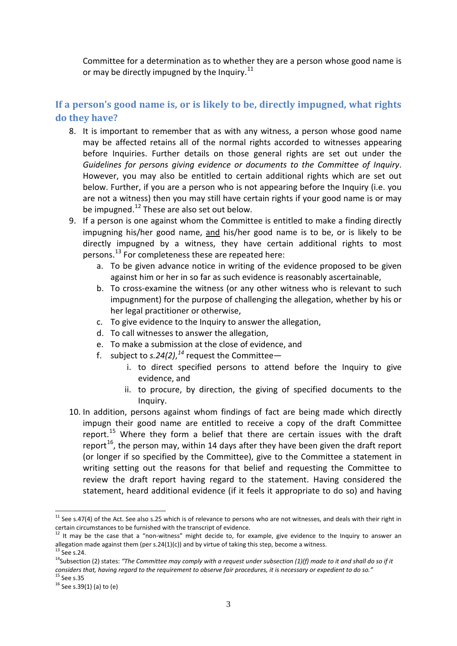Committee for a determination as to whether they are a person whose good name is or may be directly impugned by the Inquiry. $11$ 

# **If a person's good name is, or is likely to be, directly impugned, what rights do they have?**

- 8. It is important to remember that as with any witness, a person whose good name may be affected retains all of the normal rights accorded to witnesses appearing before Inquiries. Further details on those general rights are set out under the *Guidelines for persons giving evidence or documents to the Committee of Inquiry*. However, you may also be entitled to certain additional rights which are set out below. Further, if you are a person who is not appearing before the Inquiry (i.e. you are not a witness) then you may still have certain rights if your good name is or may be impugned. $^{12}$  $^{12}$  $^{12}$  These are also set out below.
- 9. If a person is one against whom the Committee is entitled to make a finding directly impugning his/her good name, and his/her good name is to be, or is likely to be directly impugned by a witness, they have certain additional rights to most persons.[13](#page-2-2) For completeness these are repeated here:
	- a. To be given advance notice in writing of the evidence proposed to be given against him or her in so far as such evidence is reasonably ascertainable,
	- b. To cross-examine the witness (or any other witness who is relevant to such impugnment) for the purpose of challenging the allegation, whether by his or her legal practitioner or otherwise,
	- c. To give evidence to the Inquiry to answer the allegation,
	- d. To call witnesses to answer the allegation,
	- e. To make a submission at the close of evidence, and
	- f. subject to *s.24(2)*, *[14](#page-2-3)* request the Committee
		- i. to direct specified persons to attend before the Inquiry to give evidence, and
		- ii. to procure, by direction, the giving of specified documents to the Inquiry.
- 10. In addition, persons against whom findings of fact are being made which directly impugn their good name are entitled to receive a copy of the draft Committee report.<sup>[15](#page-2-4)</sup> Where they form a belief that there are certain issues with the draft report<sup>16</sup>, the person may, within 14 days after they have been given the draft report (or longer if so specified by the Committee), give to the Committee a statement in writing setting out the reasons for that belief and requesting the Committee to review the draft report having regard to the statement. Having considered the statement, heard additional evidence (if it feels it appropriate to do so) and having

<u>.</u>

<span id="page-2-0"></span> $11$  See s.47(4) of the Act. See also s.25 which is of relevance to persons who are not witnesses, and deals with their right in certain circumstances to be furnished with the transcript of evidence.

<span id="page-2-1"></span><sup>&</sup>lt;sup>12</sup> It may be the case that a "non-witness" might decide to, for example, give evidence to the Inquiry to answer an allegation made against them (per s.24(1)(c)) and by virtue of taking this step, become a witness.

<span id="page-2-3"></span><span id="page-2-2"></span><sup>&</sup>lt;sup>13</sup> See s.24.<br><sup>14</sup>Subsection (2) states: "The Committee may comply with a request under subsection (1)(f) made to it and shall do so if it *considers that, having regard to the requirement to observe fair procedures, it is necessary or expedient to do so."*

<span id="page-2-5"></span><span id="page-2-4"></span> $16$  See s.39(1) (a) to (e)